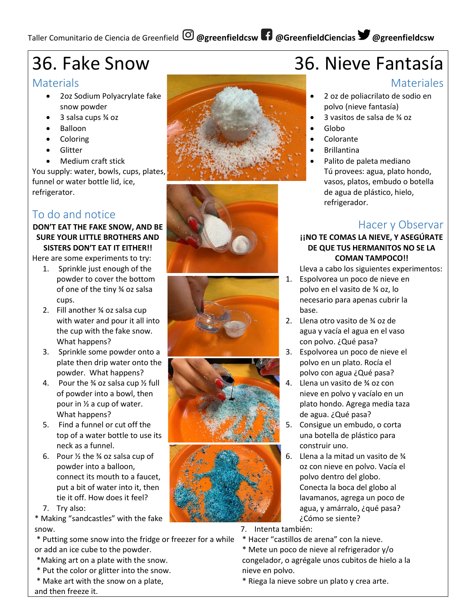# Taller Comunitario de Ciencia de Greenfield **@greenfieldcsw @GreenfieldCiencias @greenfieldcsw**

# 36. Fake Snow

### **Materials**

- 2oz Sodium Polyacrylate fake snow powder
- 3 salsa cups ¾ oz
- Balloon
- Coloring
- Glitter
- Medium craft stick

You supply: water, bowls, cups, plates, funnel or water bottle lid, ice, refrigerator.

## To do and notice

#### **DON'T EAT THE FAKE SNOW, AND BE SURE YOUR LITTLE BROTHERS AND SISTERS DON'T EAT IT EITHER!!**

Here are some experiments to try:

- 1. Sprinkle just enough of the powder to cover the bottom of one of the tiny ¾ oz salsa cups.
- 2. Fill another ¾ oz salsa cup with water and pour it all into the cup with the fake snow. What happens?
- 3. Sprinkle some powder onto a plate then drip water onto the powder. What happens?
- 4. Pour the  $\frac{3}{4}$  oz salsa cup  $\frac{1}{2}$  full of powder into a bowl, then pour in ½ a cup of water. What happens?
- 5. Find a funnel or cut off the top of a water bottle to use its neck as a funnel.
- 6. Pour  $\frac{1}{2}$  the  $\frac{3}{4}$  oz salsa cup of powder into a balloon, connect its mouth to a faucet, put a bit of water into it, then tie it off. How does it feel?
- 7. Try also:

\* Making "sandcastles" with the fake snow.

- \* Putting some snow into the fridge or freezer for a while or add an ice cube to the powder.
- \*Making art on a plate with the snow.
- \* Put the color or glitter into the snow.
- \* Make art with the snow on a plate,











# 36. Nieve Fantasía

### **Materiales**

- 2 oz de poliacrilato de sodio en polvo (nieve fantasía)
- 3 vasitos de salsa de ¾ oz
- Globo
- Colorante
- **Brillantina**
- Palito de paleta mediano Tú provees: agua, plato hondo, vasos, platos, embudo o botella de agua de plástico, hielo, refrigerador.

## Hacer y Observar

#### **¡¡NO TE COMAS LA NIEVE, Y ASEGÚRATE DE QUE TUS HERMANITOS NO SE LA COMAN TAMPOCO!!**

Lleva a cabo los siguientes experimentos:

- 1. Espolvorea un poco de nieve en polvo en el vasito de ¾ oz, lo necesario para apenas cubrir la base.
- 2. Llena otro vasito de ¾ oz de agua y vacía el agua en el vaso con polvo. ¿Qué pasa?
- 3. Espolvorea un poco de nieve el polvo en un plato. Rocía el polvo con agua ¿Qué pasa?
- 4. Llena un vasito de ¾ oz con nieve en polvo y vacíalo en un plato hondo. Agrega media taza de agua. ¿Qué pasa?
- 5. Consigue un embudo, o corta una botella de plástico para construir uno.
- 6. Llena a la mitad un vasito de  $\frac{3}{4}$ oz con nieve en polvo. Vacía el polvo dentro del globo. Conecta la boca del globo al lavamanos, agrega un poco de agua, y amárralo, ¿qué pasa? ¿Cómo se siente?
- 7. Intenta también:
- \* Hacer "castillos de arena" con la nieve.
- \* Mete un poco de nieve al refrigerador y/o congelador, o agrégale unos cubitos de hielo a la nieve en polvo.
- \* Riega la nieve sobre un plato y crea arte.

and then freeze it.